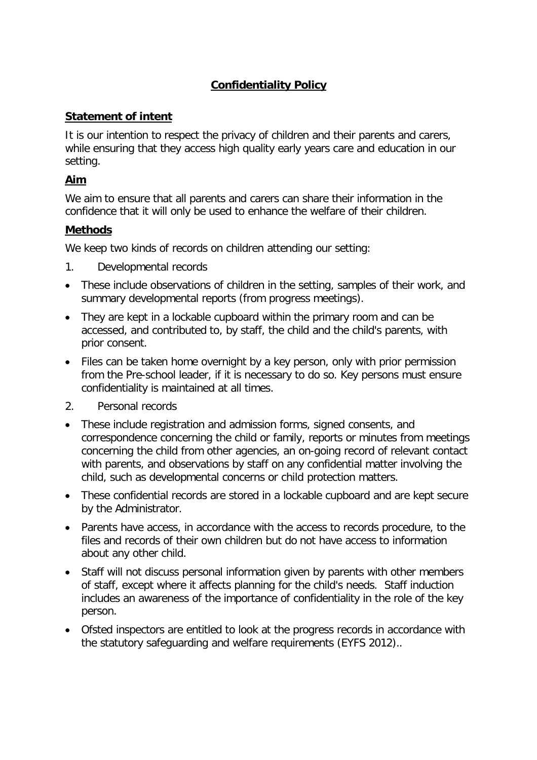# **Confidentiality Policy**

# **Statement of intent**

It is our intention to respect the privacy of children and their parents and carers, while ensuring that they access high quality early years care and education in our setting.

### **Aim**

We aim to ensure that all parents and carers can share their information in the confidence that it will only be used to enhance the welfare of their children.

# **Methods**

We keep two kinds of records on children attending our setting:

- 1. Developmental records
- These include observations of children in the setting, samples of their work, and summary developmental reports (from progress meetings).
- They are kept in a lockable cupboard within the primary room and can be accessed, and contributed to, by staff, the child and the child's parents, with prior consent.
- Files can be taken home overnight by a key person, only with prior permission from the Pre-school leader, if it is necessary to do so. Key persons must ensure confidentiality is maintained at all times.
- 2. Personal records
- These include registration and admission forms, signed consents, and correspondence concerning the child or family, reports or minutes from meetings concerning the child from other agencies, an on-going record of relevant contact with parents, and observations by staff on any confidential matter involving the child, such as developmental concerns or child protection matters.
- These confidential records are stored in a lockable cupboard and are kept secure by the Administrator.
- Parents have access, in accordance with the access to records procedure, to the files and records of their own children but do not have access to information about any other child.
- Staff will not discuss personal information given by parents with other members of staff, except where it affects planning for the child's needs. Staff induction includes an awareness of the importance of confidentiality in the role of the key person.
- Ofsted inspectors are entitled to look at the progress records in accordance with the statutory safeguarding and welfare requirements (EYFS 2012)..